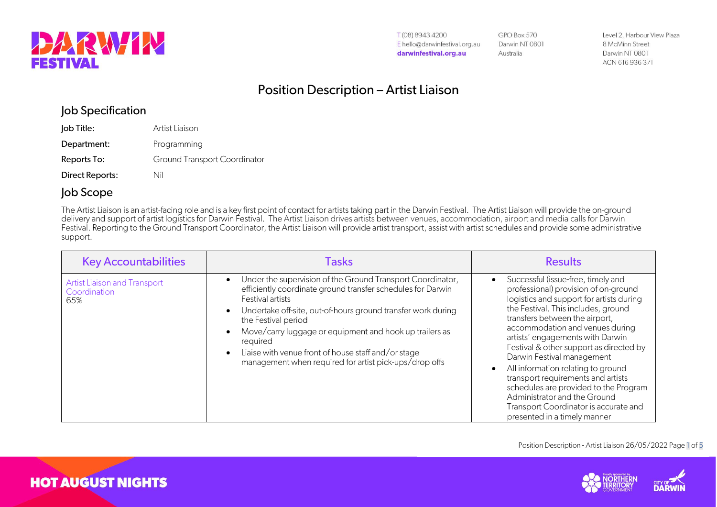

T(08) 8943 4200 E hello@darwinfestival.org.au darwinfestival.org.au

**GPO Box 570** Darwin NT 0801 Australia

Level 2, Harbour View Plaza 8 McMinn Street Darwin NT 0801 ACN 616 936 371

## Position Description – Artist Liaison

### Job Specification

| Job Title:      | Artist Liaison                      |
|-----------------|-------------------------------------|
| Department:     | Programming                         |
| Reports To:     | <b>Ground Transport Coordinator</b> |
| Direct Reports: | Nil                                 |

### Job Scope

The Artist Liaison is an artist-facing role and is a key first point of contact for artists taking part in the Darwin Festival. The Artist Liaison will provide the on-ground delivery and support of artist logistics for Darwin Festival. The Artist Liaison drives artists between venues, accommodation, airport and media calls for Darwin Festival. Reporting to the Ground Transport Coordinator, the Artist Liaison will provide artist transport, assist with artist schedules and provide some administrative support.

| <b>Key Accountabilities</b>                         | <b>Tasks</b>                                                                                                                                                                                                                                                                                                                                                                                                                 | <b>Results</b>                                                                                                                                                                                                                                                                                                                                                                                                                                                                                                                                                                |
|-----------------------------------------------------|------------------------------------------------------------------------------------------------------------------------------------------------------------------------------------------------------------------------------------------------------------------------------------------------------------------------------------------------------------------------------------------------------------------------------|-------------------------------------------------------------------------------------------------------------------------------------------------------------------------------------------------------------------------------------------------------------------------------------------------------------------------------------------------------------------------------------------------------------------------------------------------------------------------------------------------------------------------------------------------------------------------------|
| Artist Liaison and Transport<br>Coordination<br>65% | Under the supervision of the Ground Transport Coordinator,<br>efficiently coordinate ground transfer schedules for Darwin<br>Festival artists<br>Undertake off-site, out-of-hours ground transfer work during<br>the Festival period<br>Move/carry luggage or equipment and hook up trailers as<br>required<br>Liaise with venue front of house staff and/or stage<br>management when required for artist pick-ups/drop offs | Successful (issue-free, timely and<br>professional) provision of on-ground<br>logistics and support for artists during<br>the Festival. This includes, ground<br>transfers between the airport,<br>accommodation and venues during<br>artists' engagements with Darwin<br>Festival & other support as directed by<br>Darwin Festival management<br>All information relating to ground<br>transport requirements and artists<br>schedules are provided to the Program<br>Administrator and the Ground<br>Transport Coordinator is accurate and<br>presented in a timely manner |

Position Description - Artist Liaison 26/05/2022 Page 1 of 5





**HOT AUGUST NIGHTS**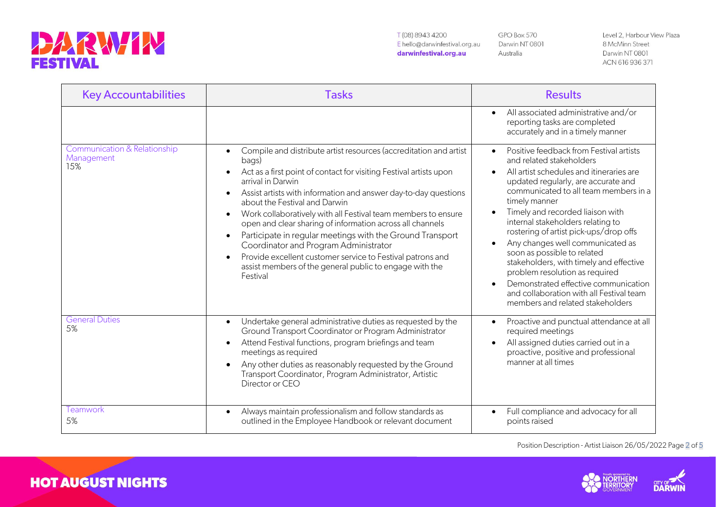# **DARWIN**

**HOT AUGUST NIGHTS** 

T(08) 8943 4200 E hello@darwinfestival.org.au darwinfestival.org.au

GPO Box 570 Darwin NT 0801 Australia

Level 2, Harbour View Plaza 8 McMinn Street Darwin NT 0801 ACN 616 936 371

| <b>Key Accountabilities</b>                       | <b>Tasks</b>                                                                                                                                                                                                                                                                                                                                                                                                                                                                                                                                                                                                                                                                 | <b>Results</b>                                                                                                                                                                                                                                                                                                                                                                                                                                                                                                                                                                                                                                                  |
|---------------------------------------------------|------------------------------------------------------------------------------------------------------------------------------------------------------------------------------------------------------------------------------------------------------------------------------------------------------------------------------------------------------------------------------------------------------------------------------------------------------------------------------------------------------------------------------------------------------------------------------------------------------------------------------------------------------------------------------|-----------------------------------------------------------------------------------------------------------------------------------------------------------------------------------------------------------------------------------------------------------------------------------------------------------------------------------------------------------------------------------------------------------------------------------------------------------------------------------------------------------------------------------------------------------------------------------------------------------------------------------------------------------------|
|                                                   |                                                                                                                                                                                                                                                                                                                                                                                                                                                                                                                                                                                                                                                                              | All associated administrative and/or<br>$\bullet$<br>reporting tasks are completed<br>accurately and in a timely manner                                                                                                                                                                                                                                                                                                                                                                                                                                                                                                                                         |
| Communication & Relationship<br>Management<br>15% | Compile and distribute artist resources (accreditation and artist<br>$\bullet$<br>bags)<br>Act as a first point of contact for visiting Festival artists upon<br>arrival in Darwin<br>Assist artists with information and answer day-to-day questions<br>$\bullet$<br>about the Festival and Darwin<br>Work collaboratively with all Festival team members to ensure<br>open and clear sharing of information across all channels<br>Participate in regular meetings with the Ground Transport<br>Coordinator and Program Administrator<br>Provide excellent customer service to Festival patrons and<br>assist members of the general public to engage with the<br>Festival | Positive feedback from Festival artists<br>$\bullet$<br>and related stakeholders<br>All artist schedules and itineraries are<br>$\bullet$<br>updated regularly, are accurate and<br>communicated to all team members in a<br>timely manner<br>Timely and recorded liaison with<br>$\bullet$<br>internal stakeholders relating to<br>rostering of artist pick-ups/drop offs<br>Any changes well communicated as<br>$\bullet$<br>soon as possible to related<br>stakeholders, with timely and effective<br>problem resolution as required<br>Demonstrated effective communication<br>and collaboration with all Festival team<br>members and related stakeholders |
| <b>General Duties</b><br>5%                       | Undertake general administrative duties as requested by the<br>$\bullet$<br>Ground Transport Coordinator or Program Administrator<br>Attend Festival functions, program briefings and team<br>meetings as required<br>Any other duties as reasonably requested by the Ground<br>Transport Coordinator, Program Administrator, Artistic<br>Director or CEO                                                                                                                                                                                                                                                                                                                    | Proactive and punctual attendance at all<br>$\bullet$<br>required meetings<br>All assigned duties carried out in a<br>$\bullet$<br>proactive, positive and professional<br>manner at all times                                                                                                                                                                                                                                                                                                                                                                                                                                                                  |
| Teamwork<br>5%                                    | Always maintain professionalism and follow standards as<br>$\bullet$<br>outlined in the Employee Handbook or relevant document                                                                                                                                                                                                                                                                                                                                                                                                                                                                                                                                               | Full compliance and advocacy for all<br>$\bullet$<br>points raised                                                                                                                                                                                                                                                                                                                                                                                                                                                                                                                                                                                              |

Position Description - Artist Liaison 26/05/2022 Page 2 of 5



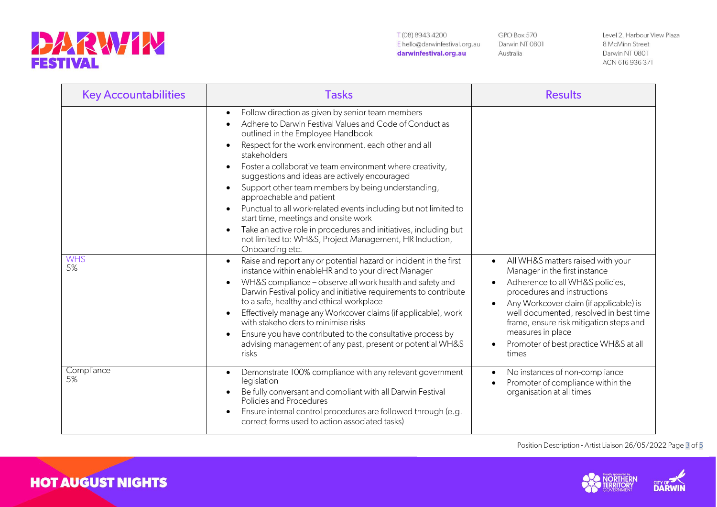

**HOT AUGUST NIGHTS** 

T(08) 8943 4200 E hello@darwinfestival.org.au darwinfestival.org.au

GPO Box 570 Darwin NT 0801 Australia

Level 2, Harbour View Plaza 8 McMinn Street Darwin NT 0801 ACN 616 936 371

| <b>Key Accountabilities</b> | <b>Tasks</b>                                                                                                                                                                                                                                                                                                                                                                                                                                                                                                                                                                                                                                                                                                                                                                                                                                                                                                                                                                                                                                                                                                                                                                                   | <b>Results</b>                                                                                                                                                                                                                                                                                        |
|-----------------------------|------------------------------------------------------------------------------------------------------------------------------------------------------------------------------------------------------------------------------------------------------------------------------------------------------------------------------------------------------------------------------------------------------------------------------------------------------------------------------------------------------------------------------------------------------------------------------------------------------------------------------------------------------------------------------------------------------------------------------------------------------------------------------------------------------------------------------------------------------------------------------------------------------------------------------------------------------------------------------------------------------------------------------------------------------------------------------------------------------------------------------------------------------------------------------------------------|-------------------------------------------------------------------------------------------------------------------------------------------------------------------------------------------------------------------------------------------------------------------------------------------------------|
| <b>WHS</b><br>5%            | Follow direction as given by senior team members<br>$\bullet$<br>Adhere to Darwin Festival Values and Code of Conduct as<br>outlined in the Employee Handbook<br>Respect for the work environment, each other and all<br>stakeholders<br>Foster a collaborative team environment where creativity,<br>suggestions and ideas are actively encouraged<br>Support other team members by being understanding,<br>$\bullet$<br>approachable and patient<br>Punctual to all work-related events including but not limited to<br>start time, meetings and onsite work<br>Take an active role in procedures and initiatives, including but<br>not limited to: WH&S, Project Management, HR Induction,<br>Onboarding etc.<br>Raise and report any or potential hazard or incident in the first<br>instance within enableHR and to your direct Manager<br>WH&S compliance - observe all work health and safety and<br>Darwin Festival policy and initiative requirements to contribute<br>to a safe, healthy and ethical workplace<br>Effectively manage any Workcover claims (if applicable), work<br>with stakeholders to minimise risks<br>Ensure you have contributed to the consultative process by | All WH&S matters raised with your<br>$\bullet$<br>Manager in the first instance<br>Adherence to all WH&S policies,<br>procedures and instructions<br>Any Workcover claim (if applicable) is<br>well documented, resolved in best time<br>frame, ensure risk mitigation steps and<br>measures in place |
|                             | advising management of any past, present or potential WH&S<br>risks                                                                                                                                                                                                                                                                                                                                                                                                                                                                                                                                                                                                                                                                                                                                                                                                                                                                                                                                                                                                                                                                                                                            | Promoter of best practice WH&S at all<br>$\bullet$<br>times                                                                                                                                                                                                                                           |
| Compliance<br>5%            | Demonstrate 100% compliance with any relevant government<br>$\bullet$<br>legislation<br>Be fully conversant and compliant with all Darwin Festival<br>Policies and Procedures<br>Ensure internal control procedures are followed through (e.g.<br>correct forms used to action associated tasks)                                                                                                                                                                                                                                                                                                                                                                                                                                                                                                                                                                                                                                                                                                                                                                                                                                                                                               | No instances of non-compliance<br>Promoter of compliance within the<br>$\bullet$<br>organisation at all times                                                                                                                                                                                         |

Position Description - Artist Liaison 26/05/2022 Page 3 of 5



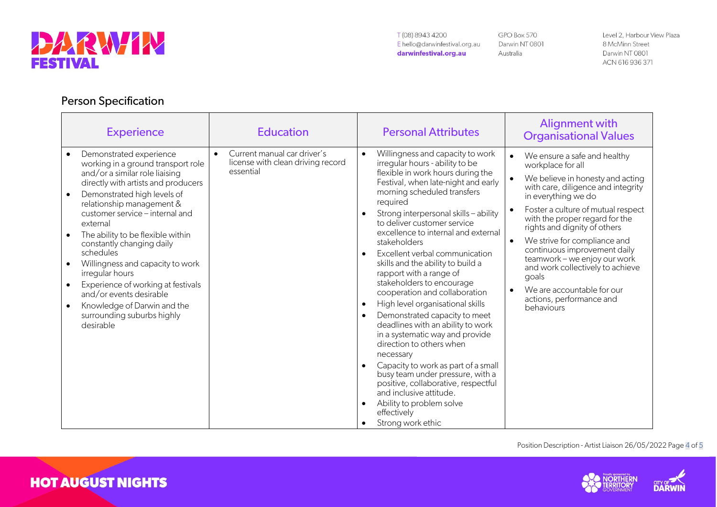

**HOT AUGUST NIGHTS** 

GPO Box 570 Darwin NT 0801 Australia

Level 2, Harbour View Plaza 8 McMinn Street Darwin NT 0801 ACN 616 936 371

### Person Specification

| <b>Experience</b>                                                                                                                                                                                                                                                                                                                                                                                                                                                                                                                                                         | <b>Education</b>                                                                           | <b>Personal Attributes</b>                                                                                                                                                                                                                                                                                                                                                                                                                                                                                                                                                                                                                                                                                                                                                                                                                                                                                                                                         | <b>Alignment with</b><br><b>Organisational Values</b>                                                                                                                                                                                                                                                                                                                                                                                                                                        |
|---------------------------------------------------------------------------------------------------------------------------------------------------------------------------------------------------------------------------------------------------------------------------------------------------------------------------------------------------------------------------------------------------------------------------------------------------------------------------------------------------------------------------------------------------------------------------|--------------------------------------------------------------------------------------------|--------------------------------------------------------------------------------------------------------------------------------------------------------------------------------------------------------------------------------------------------------------------------------------------------------------------------------------------------------------------------------------------------------------------------------------------------------------------------------------------------------------------------------------------------------------------------------------------------------------------------------------------------------------------------------------------------------------------------------------------------------------------------------------------------------------------------------------------------------------------------------------------------------------------------------------------------------------------|----------------------------------------------------------------------------------------------------------------------------------------------------------------------------------------------------------------------------------------------------------------------------------------------------------------------------------------------------------------------------------------------------------------------------------------------------------------------------------------------|
| Demonstrated experience<br>working in a ground transport role<br>and/or a similar role liaising<br>directly with artists and producers<br>Demonstrated high levels of<br>$\bullet$<br>relationship management &<br>customer service - internal and<br>external<br>The ability to be flexible within<br>$\bullet$<br>constantly changing daily<br>schedules<br>Willingness and capacity to work<br>irregular hours<br>Experience of working at festivals<br>$\bullet$<br>and/or events desirable<br>Knowledge of Darwin and the<br>surrounding suburbs highly<br>desirable | Current manual car driver's<br>$\bullet$<br>license with clean driving record<br>essential | Willingness and capacity to work<br>$\bullet$<br>irregular hours - ability to be<br>flexible in work hours during the<br>Festival, when late-night and early<br>morning scheduled transfers<br>required<br>Strong interpersonal skills - ability<br>to deliver customer service<br>excellence to internal and external<br>stakeholders<br>Excellent verbal communication<br>$\bullet$<br>skills and the ability to build a<br>rapport with a range of<br>stakeholders to encourage<br>cooperation and collaboration<br>High level organisational skills<br>$\bullet$<br>Demonstrated capacity to meet<br>$\bullet$<br>deadlines with an ability to work<br>in a systematic way and provide<br>direction to others when<br>necessary<br>Capacity to work as part of a small<br>$\bullet$<br>busy team under pressure, with a<br>positive, collaborative, respectful<br>and inclusive attitude.<br>Ability to problem solve<br>effectively<br>Strong work ethic<br>٠ | We ensure a safe and healthy<br>workplace for all<br>We believe in honesty and acting<br>with care, diligence and integrity<br>in everything we do<br>Foster a culture of mutual respect<br>with the proper regard for the<br>rights and dignity of others<br>We strive for compliance and<br>$\bullet$<br>continuous improvement daily<br>teamwork - we enjoy our work<br>and work collectively to achieve<br>goals<br>We are accountable for our<br>actions, performance and<br>behaviours |

Position Description - Artist Liaison 26/05/2022 Page 4 of 5